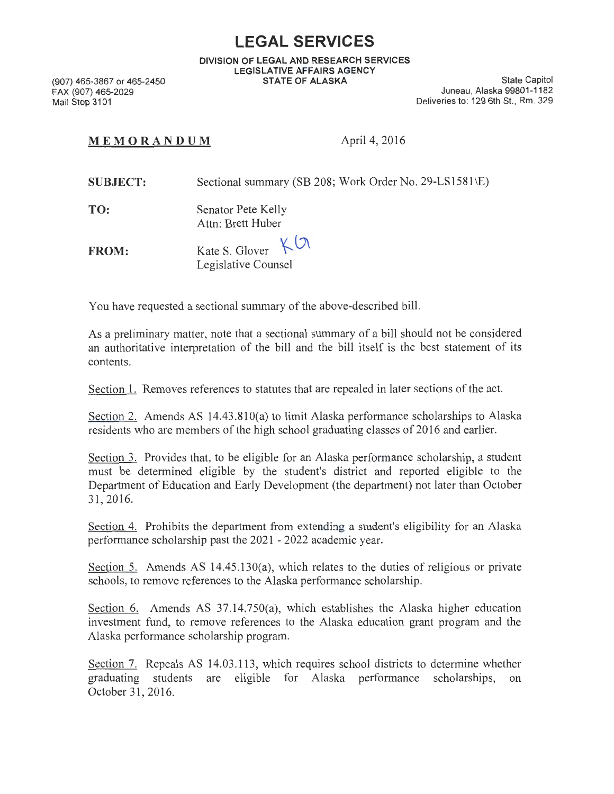## **LEGAL SERVICES**

**DIVISION OF LEGAL AND RESEARCH SERVICES LEGISLATIVE AFFAIRS AGENCY STATE OF ALASKA** State Capitol

(907) 465-3867 or 465-2450 FAX (907) 465-2029 Mail Stop 3101

Juneau, Alaska 99801-1182 Deliveries to: 129 6th St., Rm. 329

## **MEMORANDUM** April 4, 2016

| <b>SUBJECT:</b> | Sectional summary (SB 208; Work Order No. 29-LS1581\E) |
|-----------------|--------------------------------------------------------|
| TO:             | Senator Pete Kelly<br>Attn: Brett Huber                |
| <b>FROM:</b>    | Kate S. Glover $K^{0}$<br>Legislative Counsel          |

You have requested a sectional summary of the above-described bill.

As a preliminary matter, note that a sectional summary of a bill should not be considered an authoritative interpretation of the bill and the bill itself is the best statement of its contents.

Section 1. Removes references to statutes that are repealed in later sections of the act.

Section 2. Amends AS 14.43.810(a) to limit Alaska performance scholarships to Alaska residents who are members of the high school graduating classes of 2016 and earlier.

Section 3. Provides that, to be eligible for an Alaska performance scholarship, a student must be determined eligible by the student's district and reported eligible to the Department of Education and Early Development (the department) not later than October 31 , 2016.

Section 4. Prohibits the department from extending a student's eligibility for an Alaska performance scholarship past the 2021 - 2022 academic year.

Section 5. Amends AS 14.45.130(a), which relates to the duties of religious or private schools, to remove references to the Alaska performance scholarship.

Section 6. Amends AS 37.14.750(a), which establishes the Alaska higher education investment fund, to remove references to the Alaska education grant program and the Alaska performance scholarship program.

Section 7. Repeals AS 14.03.113, which requires school districts to determine whether graduating students are eligible for Alaska performance scholarships, on October 31, 2016.